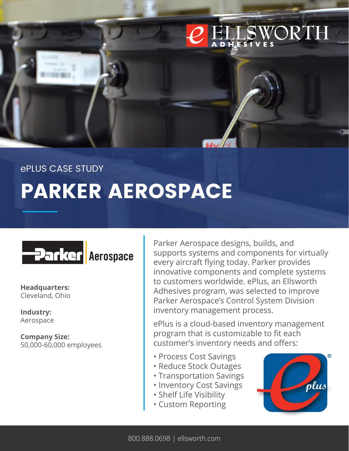

#### ePLUS CASE STUDY

# **PARKER AEROSPACE**



**Headquarters:**  Cleveland, Ohio

**Industry:** Aerospace

**Company Size:** 50,000-60,000 employees

Parker Aerospace designs, builds, and supports systems and components for virtually every aircraft flying today. Parker provides innovative components and complete systems to customers worldwide. ePlus, an Ellsworth Adhesives program, was selected to improve Parker Aerospace's Control System Division inventory management process.

ePlus is a cloud-based inventory management program that is customizable to fit each customer's inventory needs and offers:

- Process Cost Savings
- Reduce Stock Outages
- Transportation Savings
- Inventory Cost Savings
- Shelf Life Visibility
- Custom Reporting